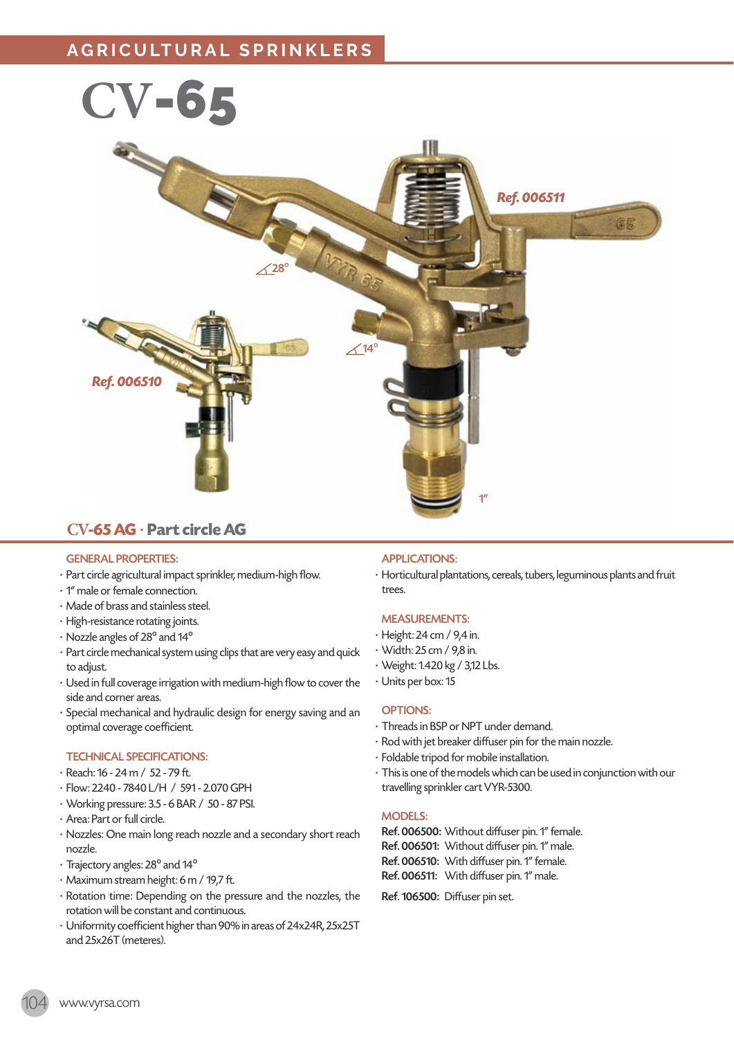# **AGRICULTURAL SPRINKLERS**



# **CV-65 AG** · **Part circle AG**

## GENERAL PROPERTIES:

- · Part circle agricultural impact sprinkler, medium-high flow.
- · 1" male or female connection.
- · Made of brass and stainless steel.
- · High-resistance rotating joints.
- · Nozzle angles of 28º and 14º
- · Part circle mechanical system using clips that are very easy and quick to adjust.
- · Used in full coverage irrigation with medium-high flow to cover the side and corner areas.
- · Special mechanical and hydraulic design for energy saving and an optimal coverage coefficient.

### TECHNICAL SPECIFICATIONS:

- · Reach: 16 24 m / 52 79 ft.
- · Flow: 2240 7840 L/H / 591 2.070 GPH
- · Working pressure: 3.5 6 BAR / 50 87 PSI.
- · Area: Part or full circle.
- · Nozzles: One main long reach nozzle and a secondary short reach nozzle.
- · Trajectory angles: 28º and 14º
- · Maximum stream height: 6 m / 19,7 ft.
- · Rotation time: Depending on the pressure and the nozzles, the rotation will be constant and continuous.
- · Uniformity coefficient higher than 90% in areas of 24x24R, 25x25T and 25x26T (meteres).

# APPLICATIONS:

· Horticultural plantations, cereals, tubers, leguminous plants and fruit trees.

# MEASUREMENTS:

- · Height: 24 cm / 9,4 in.
- · Width: 25 cm / 9,8 in.
- · Weight: 1.420 kg / 3,12 Lbs.
- · Units per box: 15

### OPTIONS:

- · Threads in BSP or NPT under demand.
- · Rod with jet breaker diffuser pin for the main nozzle.
- · Foldable tripod for mobile installation.
- · This is one of the models which can be used in conjunction with our travelling sprinkler cart VYR-5300.

### MODELS:

- Ref. 006500: Without diffuser pin. 1" female. Ref. 006501: Without diffuser pin. 1" male. Ref. 006510: With diffuser pin. 1" female.
- Ref. 006511: With diffuser pin. 1" male.

# Ref. 106500: Diffuser pin set.